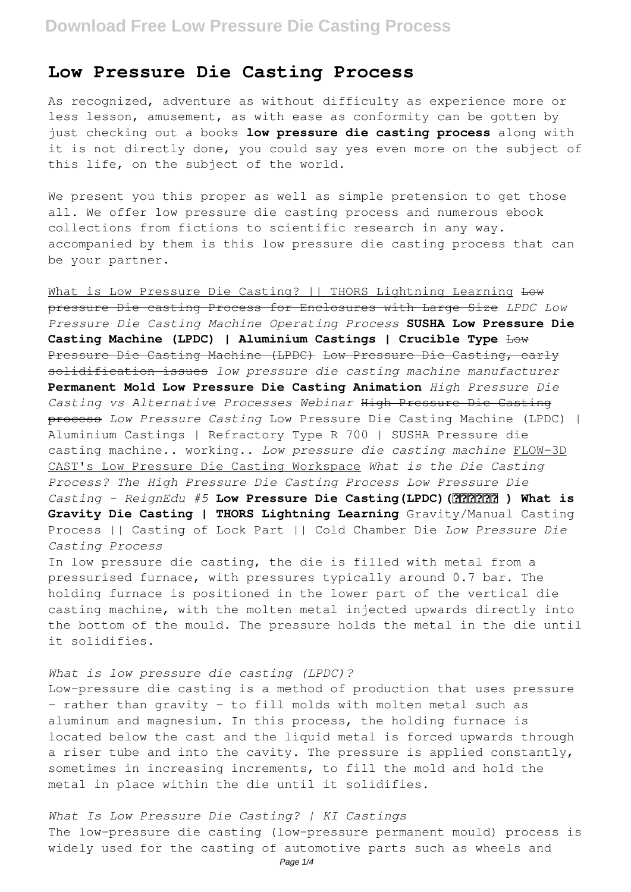## **Low Pressure Die Casting Process**

As recognized, adventure as without difficulty as experience more or less lesson, amusement, as with ease as conformity can be gotten by just checking out a books **low pressure die casting process** along with it is not directly done, you could say yes even more on the subject of this life, on the subject of the world.

We present you this proper as well as simple pretension to get those all. We offer low pressure die casting process and numerous ebook collections from fictions to scientific research in any way. accompanied by them is this low pressure die casting process that can be your partner.

What is Low Pressure Die Casting? || THORS Lightning Learning Low pressure Die casting Process for Enclosures with Large Size *LPDC Low Pressure Die Casting Machine Operating Process* **SUSHA Low Pressure Die Casting Machine (LPDC) | Aluminium Castings | Crucible Type** Low Pressure Die Casting Machine (LPDC) Low Pressure Die Casting, early solidification issues *low pressure die casting machine manufacturer* **Permanent Mold Low Pressure Die Casting Animation** *High Pressure Die Casting vs Alternative Processes Webinar* High Pressure Die Casting process *Low Pressure Casting* Low Pressure Die Casting Machine (LPDC) | Aluminium Castings | Refractory Type R 700 | SUSHA Pressure die casting machine.. working.. *Low pressure die casting machine* FLOW-3D CAST's Low Pressure Die Casting Workspace *What is the Die Casting Process? The High Pressure Die Casting Process Low Pressure Die Casting - ReignEdu #5* **Low Pressure Die Casting(LPDC)(हिन्दी ) What is Gravity Die Casting | THORS Lightning Learning** Gravity/Manual Casting Process || Casting of Lock Part || Cold Chamber Die *Low Pressure Die Casting Process* In low pressure die casting, the die is filled with metal from a

pressurised furnace, with pressures typically around 0.7 bar. The holding furnace is positioned in the lower part of the vertical die casting machine, with the molten metal injected upwards directly into the bottom of the mould. The pressure holds the metal in the die until it solidifies.

### *What is low pressure die casting (LPDC)?*

Low-pressure die casting is a method of production that uses pressure – rather than gravity – to fill molds with molten metal such as aluminum and magnesium. In this process, the holding furnace is located below the cast and the liquid metal is forced upwards through a riser tube and into the cavity. The pressure is applied constantly, sometimes in increasing increments, to fill the mold and hold the metal in place within the die until it solidifies.

*What Is Low Pressure Die Casting? | KI Castings* The low-pressure die casting (low-pressure permanent mould) process is widely used for the casting of automotive parts such as wheels and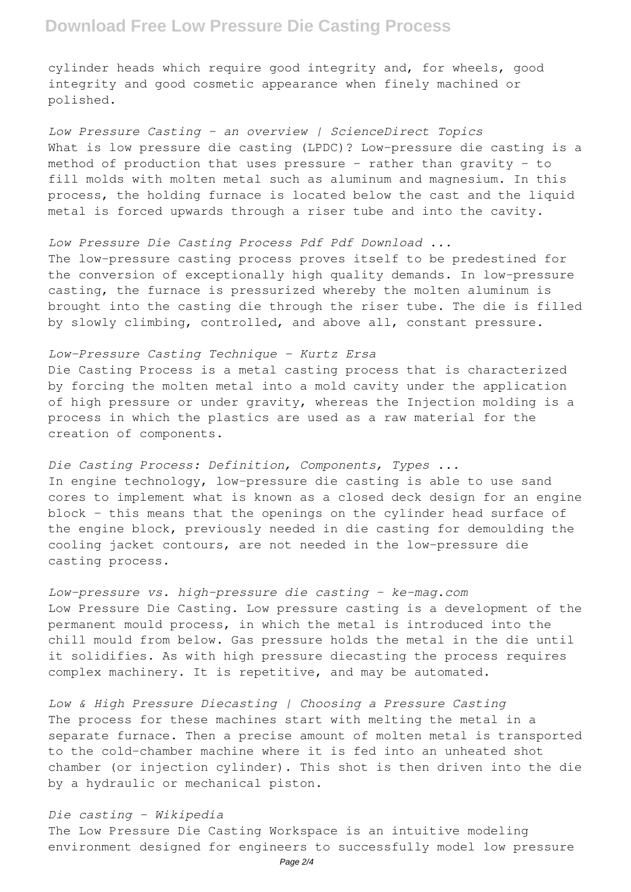# **Download Free Low Pressure Die Casting Process**

cylinder heads which require good integrity and, for wheels, good integrity and good cosmetic appearance when finely machined or polished.

*Low Pressure Casting - an overview | ScienceDirect Topics* What is low pressure die casting (LPDC)? Low-pressure die casting is a method of production that uses pressure – rather than gravity – to fill molds with molten metal such as aluminum and magnesium. In this process, the holding furnace is located below the cast and the liquid metal is forced upwards through a riser tube and into the cavity.

#### *Low Pressure Die Casting Process Pdf Pdf Download ...*

The low-pressure casting process proves itself to be predestined for the conversion of exceptionally high quality demands. In low-pressure casting, the furnace is pressurized whereby the molten aluminum is brought into the casting die through the riser tube. The die is filled by slowly climbing, controlled, and above all, constant pressure.

*Low-Pressure Casting Technique - Kurtz Ersa* Die Casting Process is a metal casting process that is characterized by forcing the molten metal into a mold cavity under the application of high pressure or under gravity, whereas the Injection molding is a process in which the plastics are used as a raw material for the creation of components.

*Die Casting Process: Definition, Components, Types ...* In engine technology, low-pressure die casting is able to use sand cores to implement what is known as a closed deck design for an engine block – this means that the openings on the cylinder head surface of the engine block, previously needed in die casting for demoulding the cooling jacket contours, are not needed in the low-pressure die casting process.

*Low-pressure vs. high-pressure die casting - ke-mag.com* Low Pressure Die Casting. Low pressure casting is a development of the permanent mould process, in which the metal is introduced into the chill mould from below. Gas pressure holds the metal in the die until it solidifies. As with high pressure diecasting the process requires complex machinery. It is repetitive, and may be automated.

*Low & High Pressure Diecasting | Choosing a Pressure Casting* The process for these machines start with melting the metal in a separate furnace. Then a precise amount of molten metal is transported to the cold-chamber machine where it is fed into an unheated shot chamber (or injection cylinder). This shot is then driven into the die by a hydraulic or mechanical piston.

## *Die casting - Wikipedia*

The Low Pressure Die Casting Workspace is an intuitive modeling environment designed for engineers to successfully model low pressure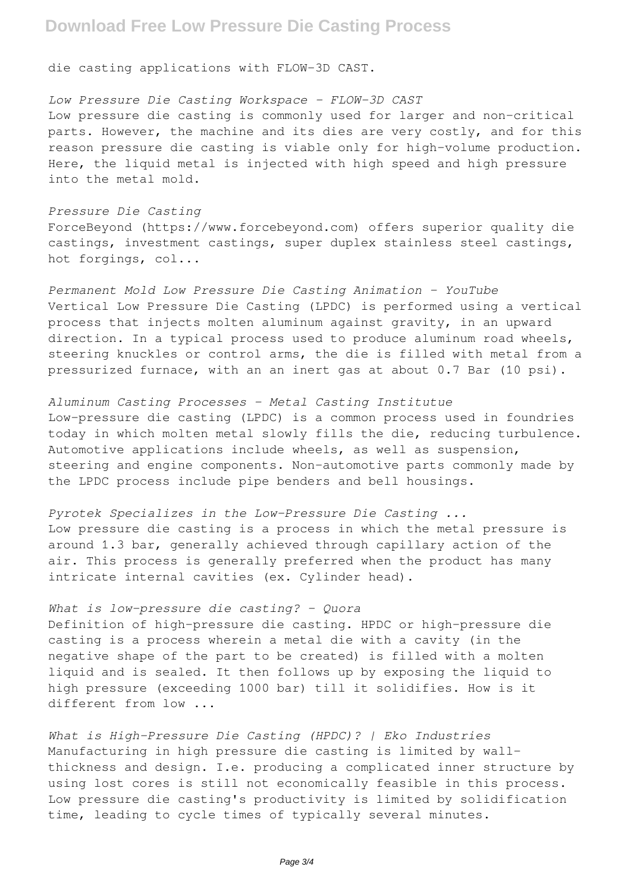## **Download Free Low Pressure Die Casting Process**

die casting applications with FLOW-3D CAST.

## *Low Pressure Die Casting Workspace - FLOW-3D CAST*

Low pressure die casting is commonly used for larger and non-critical parts. However, the machine and its dies are very costly, and for this reason pressure die casting is viable only for high-volume production. Here, the liquid metal is injected with high speed and high pressure into the metal mold.

#### *Pressure Die Casting*

ForceBeyond (https://www.forcebeyond.com) offers superior quality die castings, investment castings, super duplex stainless steel castings, hot forgings, col...

*Permanent Mold Low Pressure Die Casting Animation - YouTube* Vertical Low Pressure Die Casting (LPDC) is performed using a vertical process that injects molten aluminum against gravity, in an upward direction. In a typical process used to produce aluminum road wheels, steering knuckles or control arms, the die is filled with metal from a pressurized furnace, with an an inert gas at about 0.7 Bar (10 psi).

### *Aluminum Casting Processes - Metal Casting Institutue*

Low-pressure die casting (LPDC) is a common process used in foundries today in which molten metal slowly fills the die, reducing turbulence. Automotive applications include wheels, as well as suspension, steering and engine components. Non-automotive parts commonly made by the LPDC process include pipe benders and bell housings.

*Pyrotek Specializes in the Low-Pressure Die Casting ...* Low pressure die casting is a process in which the metal pressure is around 1.3 bar, generally achieved through capillary action of the air. This process is generally preferred when the product has many intricate internal cavities (ex. Cylinder head).

## *What is low-pressure die casting? - Quora*

Definition of high-pressure die casting. HPDC or high-pressure die casting is a process wherein a metal die with a cavity (in the negative shape of the part to be created) is filled with a molten liquid and is sealed. It then follows up by exposing the liquid to high pressure (exceeding 1000 bar) till it solidifies. How is it different from low ...

*What is High-Pressure Die Casting (HPDC)? | Eko Industries* Manufacturing in high pressure die casting is limited by wallthickness and design. I.e. producing a complicated inner structure by using lost cores is still not economically feasible in this process. Low pressure die casting's productivity is limited by solidification time, leading to cycle times of typically several minutes.